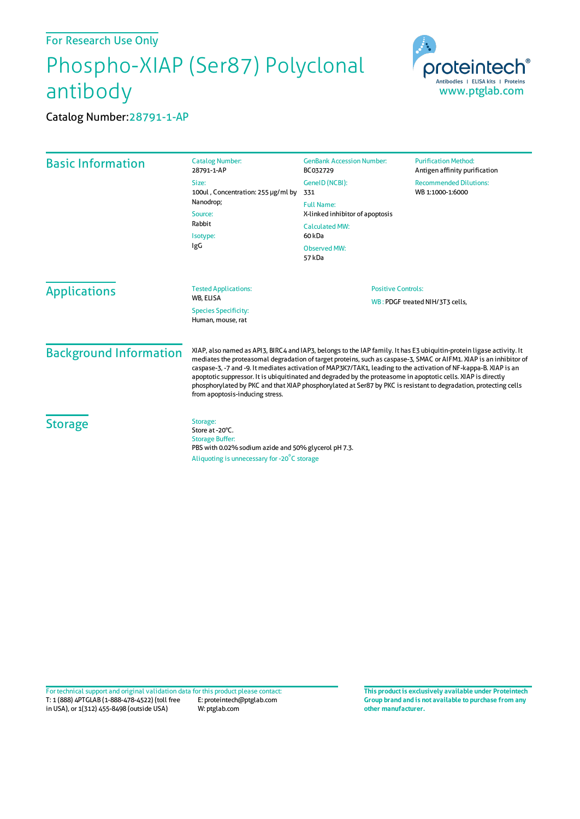## For Research Use Only

## Phospho-XIAP (Ser87) Polyclonal antibody



Catalog Number:28791-1-AP

| <b>Basic Information</b>      | <b>Catalog Number:</b><br>28791-1-AP                                                                                                                                                                                                                                                                                                                                                                                                                                                                                                                                                                                                   | <b>GenBank Accession Number:</b><br>BC032729                                                       | <b>Purification Method:</b><br>Antigen affinity purification |
|-------------------------------|----------------------------------------------------------------------------------------------------------------------------------------------------------------------------------------------------------------------------------------------------------------------------------------------------------------------------------------------------------------------------------------------------------------------------------------------------------------------------------------------------------------------------------------------------------------------------------------------------------------------------------------|----------------------------------------------------------------------------------------------------|--------------------------------------------------------------|
|                               | Size:<br>100ul, Concentration: 255 µg/ml by<br>Nanodrop;<br>Source:<br>Rabbit<br>Isotype:<br>IgG                                                                                                                                                                                                                                                                                                                                                                                                                                                                                                                                       | GeneID (NCBI):<br>331                                                                              | <b>Recommended Dilutions:</b><br>WB 1:1000-1:6000            |
|                               |                                                                                                                                                                                                                                                                                                                                                                                                                                                                                                                                                                                                                                        | <b>Full Name:</b><br>X-linked inhibitor of apoptosis<br><b>Calculated MW:</b><br>60 <sub>kDa</sub> |                                                              |
|                               |                                                                                                                                                                                                                                                                                                                                                                                                                                                                                                                                                                                                                                        | <b>Observed MW:</b><br>57 kDa                                                                      |                                                              |
| <b>Applications</b>           | <b>Tested Applications:</b><br>WB, ELISA<br><b>Species Specificity:</b><br>Human, mouse, rat                                                                                                                                                                                                                                                                                                                                                                                                                                                                                                                                           | <b>Positive Controls:</b><br>WB: PDGF treated NIH/3T3 cells,                                       |                                                              |
| <b>Background Information</b> | XIAP, also named as API3, BIRC4 and IAP3, belongs to the IAP family. It has E3 ubiquitin-protein ligase activity. It<br>mediates the proteasomal degradation of target proteins, such as caspase-3, SMAC or AIFM1. XIAP is an inhibitor of<br>caspase-3, -7 and -9. It mediates activation of MAP3K7/TAK1, leading to the activation of NF-kappa-B. XIAP is an<br>apoptotic suppressor. It is ubiquitinated and degraded by the proteasome in apoptotic cells. XIAP is directly<br>phosphorylated by PKC and that XIAP phosphorylated at Ser87 by PKC is resistant to degradation, protecting cells<br>from apoptosis-inducing stress. |                                                                                                    |                                                              |
| <b>Storage</b>                | Storage:<br>Store at -20°C.<br><b>Storage Buffer:</b><br>PBS with 0.02% sodium azide and 50% glycerol pH 7.3.<br>Aliquoting is unnecessary for -20 <sup>°</sup> C storage                                                                                                                                                                                                                                                                                                                                                                                                                                                              |                                                                                                    |                                                              |

T: 1 (888) 4PTGLAB (1-888-478-4522) (toll free in USA), or 1(312) 455-8498 (outside USA) E: proteintech@ptglab.com W: ptglab.com Fortechnical support and original validation data forthis product please contact: **This productis exclusively available under Proteintech**

**Group brand and is not available to purchase from any other manufacturer.**